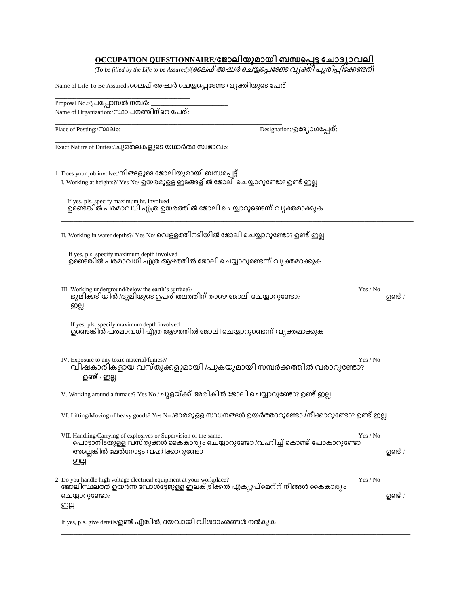## **OCCUPATION QUESTIONNAIRE/**

(To be filled by the Life to be Assured)/(ലൈഫ് അഷ്വർ ചെയ്യപ്പെ*ടേണ്ട വ*്യക്തി *പുരിപ്പിക്കേണ്ടത്*)

Name of Life To Be Assured:/ലൈഫ് അഷ്വർ ചെയ്യപ്പെടേണ്ട വ്യക്തിയുടെ പേര്:

| Proposal No.:/പ്രപ്പോസൽ നമ്പർ: j                                                                                                                                                            |          |                |
|---------------------------------------------------------------------------------------------------------------------------------------------------------------------------------------------|----------|----------------|
| Name of Organization:/സ്ഥാപനത്തിന്റെ പേര്:                                                                                                                                                  |          |                |
| _Designation:/ฏ23၂၁ഗപ്പേര്:<br>Place of Posting:/(MDQIo:                                                                                                                                    |          |                |
| Exact Nature of Duties:/ചുമതലകളുടെ യഥാർത്ഥ സ്വഭാവം:                                                                                                                                         |          |                |
| 1. Does your job involve:/നിങ്ങളുടെ ജോലിയുമായി ബന്ധപ്പെട്ട്:<br>I. Working at heights?/ Yes No/ ഉയരമുള്ള ഇടങ്ങളിൽ ജോലി ചെയ്യാറുണ്ടോ? ഉണ്ട് ഇല്ല                                             |          |                |
| If yes, pls. specify maximum ht. involved<br>ഉണ്ടെങ്കിൽ പരമാവധി എത്ര ഉയരത്തിൽ ജോലി ചെയ്യാറുണ്ടെന്ന് വ്യക്തമാക്കുക                                                                           |          |                |
| II. Working in water depths?/ Yes No/ വെള്ളത്തിനടിയിൽ ജോലി ചെയ്യാറുണ്ടോ? ഉണ്ട് ഇല്ല                                                                                                         |          |                |
| If yes, pls. specify maximum depth involved<br>ഉണ്ടെങ്കിൽ പരമാവധി എത്ര ആഴത്തിൽ ജോലി ചെയ്യാറുണ്ടെന്ന് വ്യക്തമാക്കുക                                                                          |          |                |
| III. Working underground/below the earth's surface?/<br>ഭൂമിക്കടിയിൽ /ഭൂമിയുടെ ഉപരിതലത്തിന് താഴെ ജോലി ചെയ്യാറുണ്ടോ?<br>ഇല്ല                                                                 | Yes / No | <b>ഉണ്ട്</b> / |
| If yes, pls. specify maximum depth involved<br>ഉണ്ടെങ്കിൽ പരമാവധി എത്ര ആഴത്തിൽ ജോലി ചെയ്യാറുണ്ടെന്ന് വ്യക്തമാക്കുക                                                                          |          |                |
| IV. Exposure to any toxic material/fumes?/<br>വിഷകാരികളായ വസ്തുക്കളുമായി /പുകയുമായി സമ്പർക്കത്തിൽ വരാറുണ്ടോ?<br>ഉണ്ട് / ഇല്ല                                                                | Yes / No |                |
| V. Working around a furnace? Yes No /ച്യൂളയ്ക്ക് അരികിൽ ജോലി ചെയ്യാറുണ്ടോ? ഉണ്ട് ഇല്ല                                                                                                       |          |                |
| VI. Lifting/Moving of heavy goods? Yes No /ഭാരമുള്ള സാധനങ്ങൾ ഉയർത്താറുണ്ടോ /നീക്കാറുണ്ടോ? ഉണ്ട് ഇല്ല                                                                                        |          |                |
| VII. Handling/Carrying of explosives or Supervision of the same.<br>പൊട്ടാനിടയുള്ള വസ്തുക്കൾ കൈകാര്യം ചെയ്യാറുണ്ടോ /വഹിച്ച് കൊണ്ട് പോകാറുണ്ടോ<br>അല്ലെങ്കിൽ മേൽനോട്ടം വഹിക്കാറുണ്ടോ<br>ഇല്ല | Yes / No | <b>ഉണ്ട്</b> / |
| 2. Do you handle high voltage electrical equipment at your workplace?<br>ജോലിസ്ഥലത്ത് ഉയർന്ന വോൾട്ടേജുള്ള ഇലക്ട്രിക്കൽ എക്യുപ്മെന്റ് നിങ്ങൾ കൈകാര്യം<br>ചെയ്യാറുണ്ടോ?<br>ഇല്ല               | Yes / No | <b>ഉണ്ട്</b> / |
| If yes, pls. give details/ഉണ്ട് എങ്കിൽ, ദയവായി വിശദാംശങ്ങൾ നൽകുക                                                                                                                            |          |                |

\_\_\_\_\_\_\_\_\_\_\_\_\_\_\_\_\_\_\_\_\_\_\_\_\_\_\_\_\_\_\_\_\_\_\_\_\_\_\_\_\_\_\_\_\_\_\_\_\_\_\_\_\_\_\_\_\_\_\_\_\_\_\_\_\_\_\_\_\_\_\_\_\_\_\_\_\_\_\_\_\_\_\_\_\_\_\_\_\_\_\_\_\_\_\_\_\_\_\_\_\_\_\_\_\_\_\_\_\_\_\_\_\_\_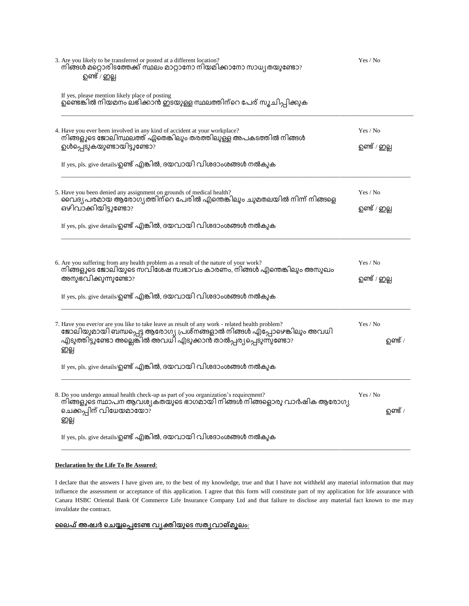| 3. Are you likely to be transferred or posted at a different location?<br>നിങ്ങൾ മറ്റൊരിടത്തേക്ക് സ്ഥലം മാറ്റാനോ നിയമിക്കാനോ സാധ്യതയുണ്ടോ?<br>ഉണ്ട് / ഇല്ല                                                                                                                                                                 | Yes / No                   |
|----------------------------------------------------------------------------------------------------------------------------------------------------------------------------------------------------------------------------------------------------------------------------------------------------------------------------|----------------------------|
| If yes, please mention likely place of posting<br>ഉണ്ടെങ്കിൽ നിയമനം ലഭിക്കാൻ ഇടയുള്ള സ്ഥലത്തിന്റെ പേര് സൂചിപ്പിക്കുക                                                                                                                                                                                                       |                            |
| 4. Have you ever been involved in any kind of accident at your workplace?<br>നിങ്ങളുടെ ജോലിസ്ഥലത്ത് ഏതെങ്കിലും തരത്തിലുള്ള അപകടത്തിൽ നിങ്ങൾ<br>ഉൾപ്പെടുകയുണ്ടായിട്ടുണ്ടോ?<br>If yes, pls. give details/ഉണ്ട് എങ്കിൽ, ദയവായി വിശദാംശങ്ങൾ നൽകുക                                                                              | Yes / No<br>ഉണ്ട് / ഇല്ല   |
| 5. Have you been denied any assignment on grounds of medical health?<br>വൈദ്യപരമായ ആരോഗ്യത്തിന്റെ പേരിൽ എന്തെങ്കിലും ചുമതലയിൽ നിന്ന് നിങ്ങളെ<br>ഒഴിവാക്കിയിട്ടുണ്ടോ?<br>If yes, pls. give details/ഉണ്ട് എങ്കിൽ, ദയവായി വിശദാംശങ്ങൾ നൽകുക                                                                                   | Yes / No<br>ഉണ്ട് / ഇല്ല   |
| 6. Are you suffering from any health problem as a result of the nature of your work?<br>നിങ്ങളുടെ ജോലിയുടെ സവിശേഷ സ്വഭാവം കാരണം, നിങ്ങൾ എന്തെങ്കിലും അസുഖം<br>അനുഭവിക്കുന്നുണ്ടോ?<br>If yes, pls. give details/ഉണ്ട് എങ്കിൽ, ദയവായി വിശദാംശങ്ങൾ നൽകുക                                                                      | Yes / No<br>ഉണ്ട് / ഇല്ല   |
| 7. Have you ever/or are you like to take leave as result of any work - related health problem?<br>ജോലിയുമായി ബന്ധപ്പെട്ട ആരോഗ്യ പ്രശ്നങ്ങളാൽ നിങ്ങൾ എ്പ്പോഴെങ്കിലും അവധി<br>.എടുത്തിട്ടുണ്ടോ അല്ലെങ്കിൽ അവധി എടുക്കാൻ താൽപ്പര്യപ്പെടുന്നുണ്ടോ?<br>ഇല്ല<br>If yes, pls. give details/ഉണ്ട് എങ്കിൽ, ദയവായി വിശദാംശങ്ങൾ നൽകുക | Yes / No<br><b>ഉണ്ട്</b> / |
| 8. Do you undergo annual health check-up as part of you organization's requirement?<br>നിങ്ങളുടെ സ്ഥാപന ആവശ്യകതയുടെ ഭാഗമായി നിങ്ങൾ നിങ്ങളൊരു വാർഷിക ആരോഗ്യ<br>ചെക്കപ്പിന് വിധേയമായോ?<br>ഇല്ല<br>If yes, pls. give details/ഉണ്ട് എങ്കിൽ, ദയവായി വിശദാംശങ്ങൾ നൽകുക                                                           | Yes / No<br><b>ഉണ്ട്</b> / |

## **Declaration by the Life To Be Assured**:

I declare that the answers I have given are, to the best of my knowledge, true and that I have not withheld any material information that may influence the assessment or acceptance of this application. I agree that this form will constitute part of my application for life assurance with Canara HSBC Oriental Bank Of Commerce Life Insurance Company Ltd and that failure to disclose any material fact known to me may invalidate the contract.

\_\_\_\_\_\_\_\_\_\_\_\_\_\_\_\_\_\_\_\_\_\_\_\_\_\_\_\_\_\_\_\_\_\_\_\_\_\_\_\_\_\_\_\_\_\_\_\_\_\_\_\_\_\_\_\_\_\_\_\_\_\_\_\_\_\_\_\_\_\_\_\_\_\_\_\_\_\_\_\_\_\_\_\_\_\_\_\_\_\_\_\_\_\_\_\_\_\_\_\_\_\_\_\_\_\_\_\_\_\_\_\_\_\_

## <u>ലൈഫ് അഷ്വർ ചെയ്യപ്പെടേണ്ട വൃക്തിയുടെ സത്യവാങ്മൂലം:</u>